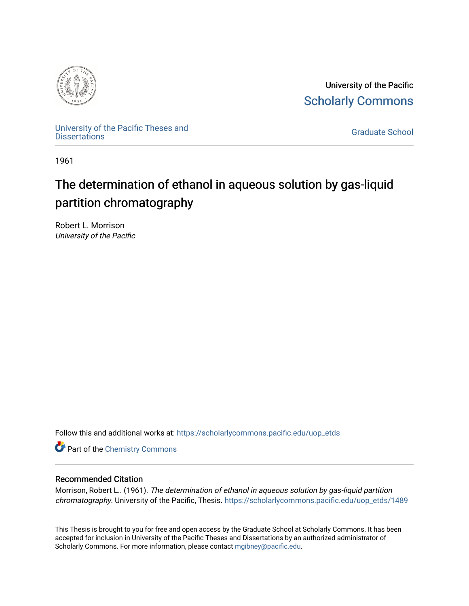

University of the Pacific [Scholarly Commons](https://scholarlycommons.pacific.edu/) 

[University of the Pacific Theses and](https://scholarlycommons.pacific.edu/uop_etds)  oniversity of the Pacific Theses and the control of the Control of [Graduate School](https://scholarlycommons.pacific.edu/graduate-school) Dissertations

1961

## The determination of ethanol in aqueous solution by gas-liquid partition chromatography

Robert L. Morrison University of the Pacific

Follow this and additional works at: [https://scholarlycommons.pacific.edu/uop\\_etds](https://scholarlycommons.pacific.edu/uop_etds?utm_source=scholarlycommons.pacific.edu%2Fuop_etds%2F1489&utm_medium=PDF&utm_campaign=PDFCoverPages) 

**Part of the Chemistry Commons** 

#### Recommended Citation

Morrison, Robert L.. (1961). The determination of ethanol in aqueous solution by gas-liquid partition chromatography. University of the Pacific, Thesis. [https://scholarlycommons.pacific.edu/uop\\_etds/1489](https://scholarlycommons.pacific.edu/uop_etds/1489?utm_source=scholarlycommons.pacific.edu%2Fuop_etds%2F1489&utm_medium=PDF&utm_campaign=PDFCoverPages) 

This Thesis is brought to you for free and open access by the Graduate School at Scholarly Commons. It has been accepted for inclusion in University of the Pacific Theses and Dissertations by an authorized administrator of Scholarly Commons. For more information, please contact [mgibney@pacific.edu.](mailto:mgibney@pacific.edu)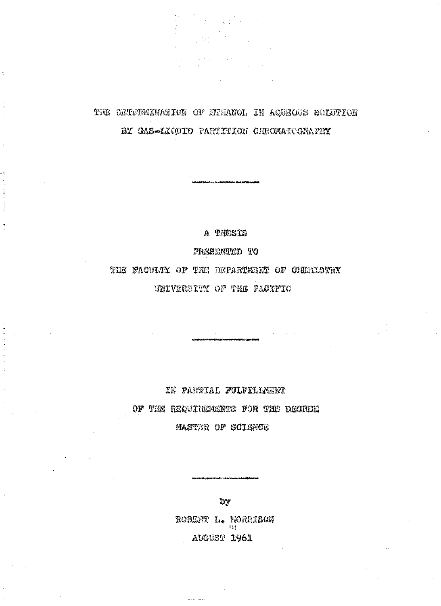## THE DETERMINATION OF ETHANOL IN AQUEOUS SOLUTION BY GAS-LIQUID PARTITION CHROMATOGRAFIN

 $\label{eq:2} \frac{1}{\sqrt{2\pi}}\frac{1}{\sqrt{2\pi}}\frac{1}{\sqrt{2\pi}}\frac{1}{\sqrt{2\pi}}\frac{1}{\sqrt{2\pi}}\frac{1}{\sqrt{2\pi}}\frac{1}{\sqrt{2\pi}}\frac{1}{\sqrt{2\pi}}\frac{1}{\sqrt{2\pi}}\frac{1}{\sqrt{2\pi}}\frac{1}{\sqrt{2\pi}}\frac{1}{\sqrt{2\pi}}\frac{1}{\sqrt{2\pi}}\frac{1}{\sqrt{2\pi}}\frac{1}{\sqrt{2\pi}}\frac{1}{\sqrt{2\pi}}\frac{1}{\sqrt{2\pi}}\frac{1}{\sqrt{2$ 

 $\label{eq:2.1} \frac{1}{2} \frac{d\mathbf{y}}{dt} = \frac{1}{2} \left( \frac{1}{2} \left( \frac{\mathbf{y}}{dt} \right)^2 - \frac{1}{2} \left( \frac{\mathbf{y}}{dt} \right)^2 \right)$ 

 $\frac{1}{4\pi\sqrt{3}}\frac{1}{\sqrt{3}}$ 

A THESTS

PRESERVATO TO

THE FACULTY OF THE DEPARTMENT OF CHEMISTRY UNIVERSITY OF THE PACIFIC

IN PARTIAL FULFILLMENT

OF THE REQUIREMENTS FOR THE DEGREE

**MASTER OF SCIENCE** 

by

ROBERT L. MORRISON **AUGUST 1961**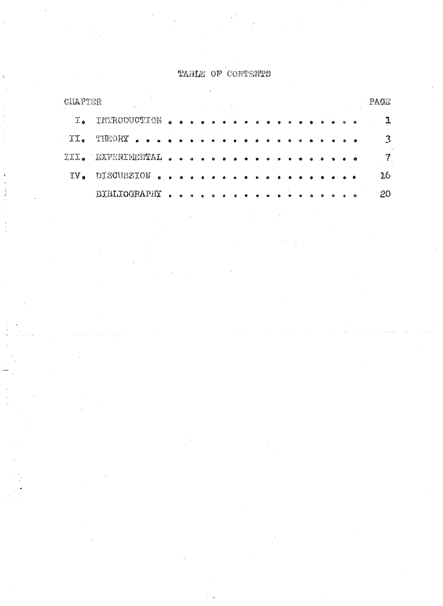## TABLE OF CONTENTS

P,

| CHAPTER           |                       |                                                                                                                |                             |   |                |                |           |   |  |        |  |  |  |           | PACE |
|-------------------|-----------------------|----------------------------------------------------------------------------------------------------------------|-----------------------------|---|----------------|----------------|-----------|---|--|--------|--|--|--|-----------|------|
|                   | I. INTRODUCTION       | Á.                                                                                                             |                             |   |                |                |           |   |  |        |  |  |  |           |      |
| $I_{\mathcal{A}}$ | <b>SIMORY</b>         |                                                                                                                |                             |   |                |                |           |   |  |        |  |  |  | $\bullet$ | ্ব   |
|                   | III a DASSRADADINAL . |                                                                                                                | $\ddot{\Phi}$ $\ddot{\Phi}$ |   | $\bullet$      | $\mathbf{q}_0$ |           |   |  | $\sim$ |  |  |  | 泰         | وم   |
| IV.               | DISCUSSION            | $\begin{array}{ccccccccccccc} \bullet & \bullet & \bullet & \bullet & \bullet & \bullet & \bullet \end{array}$ |                             |   | $\overline{a}$ |                |           |   |  |        |  |  |  | $\bullet$ | 16   |
|                   | <b>BIBLIOGRAPHY</b>   | $\omega$                                                                                                       | $\bullet$                   | 券 |                | ٠.             | $\bullet$ | ۰ |  |        |  |  |  | 巷         | 20   |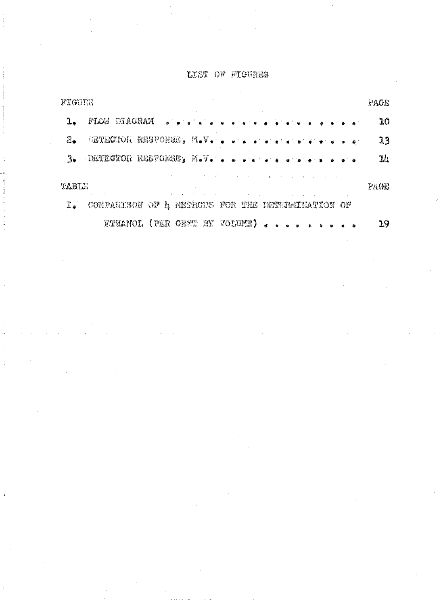#### LIST OF FIGURES

| FIGURE           |                                                  | PACE |
|------------------|--------------------------------------------------|------|
|                  | DIAGRAM<br>FLOS<br>in a familia factor and a     | 10   |
| 乙辛               | DETECTION RESPONSELY N.V.                        | 13   |
|                  | 3. DETECTOR RESPONSE, M.V.                       | 11   |
| TABLE            |                                                  | PAGE |
| $\mathfrak{Z}$ . | COMPARISON OF L METHODS FOR THE DETERMINATION OF |      |
|                  | ETHANOL (PER CENT BY VOLUME)                     | 19   |

j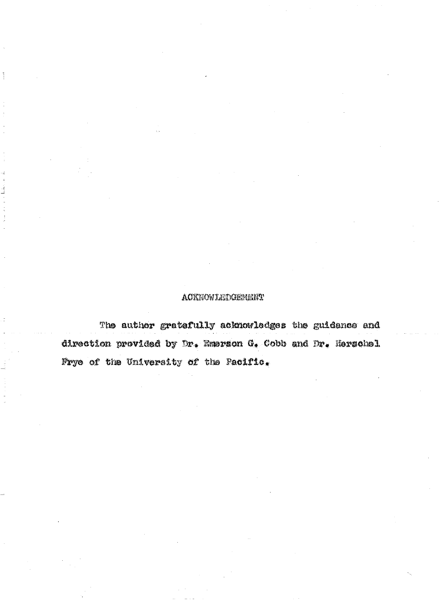#### **ACKNOWLETGEMENT**

The author gratefully acknowledges the guidance and direction provided by Dr. Emerson G. Cobb and Dr. Herschel Frye of the University of the Pacific.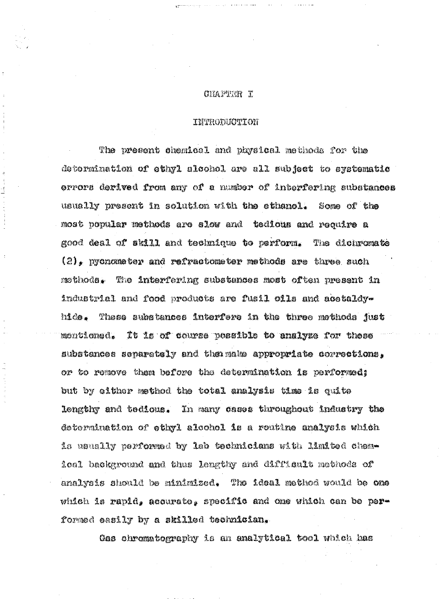#### **CHAPTER I**

#### **TOITRODUOTITITI**

The present chemical and physical methods for the determination of ethyl alcohol are all subject to systematic errors derived from any of a number of interfering substances usually present in solution with the sthanol. Some of the most popular methods are slow and tedious and require a good deal of skill and technique to perform. The dichromate  $(2)$ , pychometer and refractometer methods are three such methods. The interfering substances most often present in industrial and food products are fusil oils and acetaldyhide. These substances interfere in the three methods just montioned. It is of course possible to analyze for these substances separately and the make appropriate corrections, or to remove them before the determination is performed; but by either method the total analysis time is quite lengthy and tedious. In many cases throughout industry the determination of othyl alcohol is a routine analysis which is usually performed by lab technicians with limited chemloal background and thus lengthy and difficult methods of analysis should be minimized. The ideal method would be one which is rapid, accurate, specific and one which can be performed easily by a skilled technician.

Gas chromatography is an analytical tool which has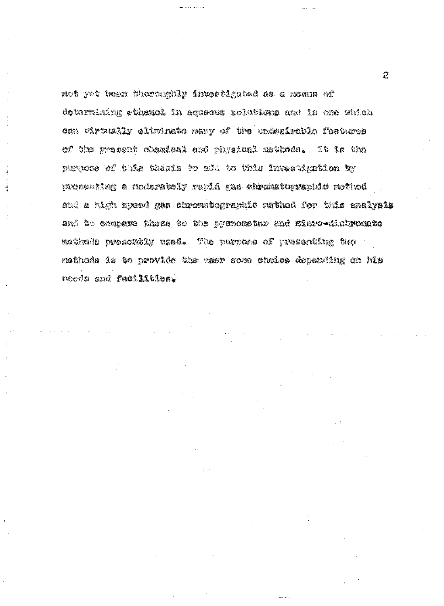not yet been thoroughly investigated as a manns of determining ethenol in aqueous solutions and is one which dan virtually aliminate many of the undesirable features of the present chemical and physical methods. It is the purpose of this thesis to add to this investigation by presenting a noderetely rapid gas chromatographic method and a high speed gas chromstographic method for this snalyais and to compare these to the pychomoter and micro-dichromate methods presently used. The purpose of presenting two nathods is to provide the user somm sholes depending on his neods and facilities.

 $\frac{1}{2}$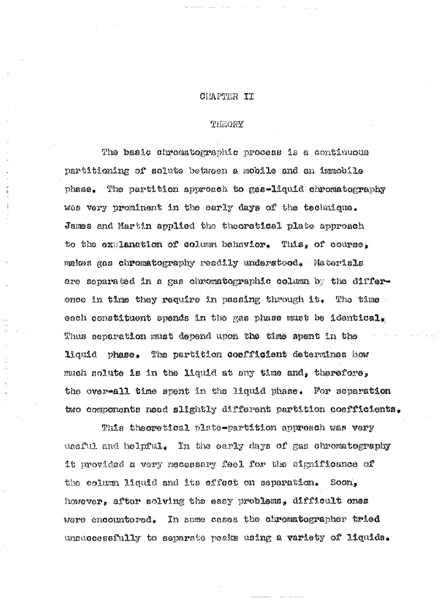#### CHAPTER II

#### THEORY

The basic chromatographic process is a continuous partitioning of solute between a mobile and an immobile The partition approach to gas-liquid chromatography phase. was very prominent in the early days of the technique. James and Martin applied the theoretical plate approach to the explanation of column behavior. This, of course, makes gas chromatography readily understood. Materials are separated in a gas chromatographic column by the difference in time they require in passing through it. The time each constituent spends in the gas phase must be identical. Thus separation must depend upon the time spent in the liquid phase. The partition coefficient determines how much solute is in the liquid at any time and, therefore, the over-all time spent in the liquid phase. For separation two components need slightly different partition coefficients.

This theoretical plate-partition approach was very useful and helpful. In the early days of gas chromatography it provided a very necessary feel for the significance of the column liquid and its effect on separation.  $\text{com}_*$ however, after solving the easy problems, difficult ones were encountered. In some cases the chromatographer tried unsuccessfully to separate peaks using a variety of liquida.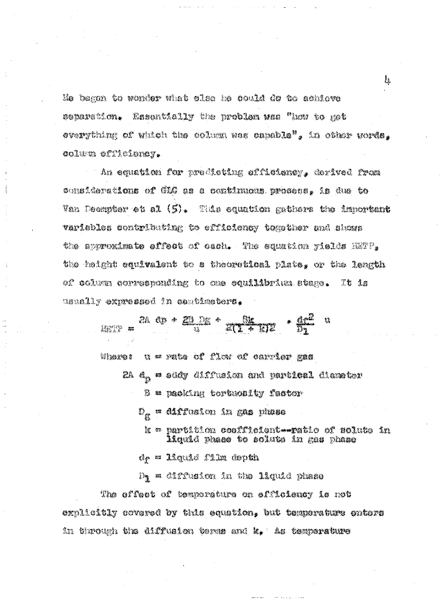Ho began to wonder what clae he could do to achieve Essentially the problem was "how to get estaretíon. overything of which the column was capable", in other words, colum efficiency.

An equation for predicting efficiency, derived from considerations of CHC as a continuous process, is due to Van Doomptor et al (5). Tide equation gathers the important variebles contributing to efficiency together and shows the spyroximate offect of cach. The equation pields H2TP, the height equivalent to a theoretical plate, or the length of column corresponding to me equilibrium stage. It 1s usually expressed in centimeters.

> $\frac{a}{m}$  as  $\frac{a}{m}$  and  $\frac{a}{m}$  and  $\frac{a}{m}$  and  $\frac{a}{m}$  and  $\frac{a}{m}$ u = rate of flow of carrier gas Wream! 2A d<sub>r.</sub> = addy diffusion and partital diamater  $\mathbb B$   $\approx$  gather tortuonly factor D<sub>æ</sub> = diffusion in gan phase k = partition coofficient ratio of solute in iiquid phaao to soluto in mas phase de = liquid film depth D, = diffusion în the liquid phase The offect of temperature on effloiency is not

explicitly covered by this equation, but temperature enters in through the diffusion terms and k. As temperature

 $\frac{1}{2} \frac{\partial}{\partial x}$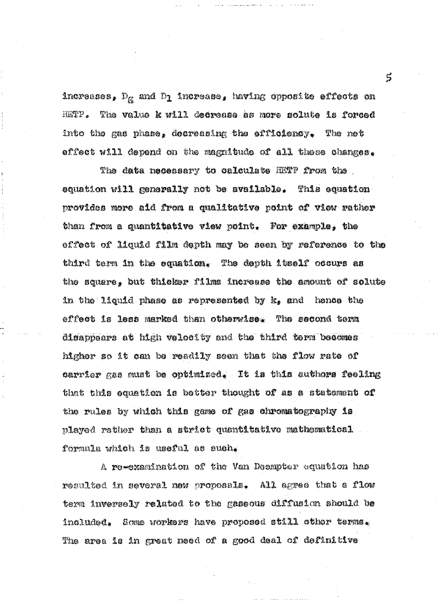increases,  $\mathbb{D}_\mathbf{g}$  and  $\mathbb{D}_\mathbf{1}$  increase, having opposite effects on HETF. The value k will decrease as more solute is forced into the gas phase, decreasing the efficiency. The net effect will depend on the magnitude of all these changes.

The data necessary to calculate HETP from the equation will generally not be available. This equation provides more aid from a qualitative point of view rather than from a quantitative view point. For example, the effect of liquid film depth may be seen by reference to the third term in the equation. The depth itself occurs as the square, but thicker films increase the amount of solute in the liquid phase as represented by k, and hence the effect is less marked then otherwise. The second term disappears at high velocity and the third term becomes higher so it can be readily seen that the flow rate of carrier gas must be optimized. It is this authors feeling that this equation is better thought of as a statement of the rules by which this game of gas chromatography is played rather than a strict quantitative mathematical formula which is useful as such.

A re-examination of the Van Deempter equation has resulted in several new proposals. All agree that a flow term inversely related to the gaseous diffusion should be included. Some workers have proposed still other terms. The area is in great need of a good deal of definitive

r.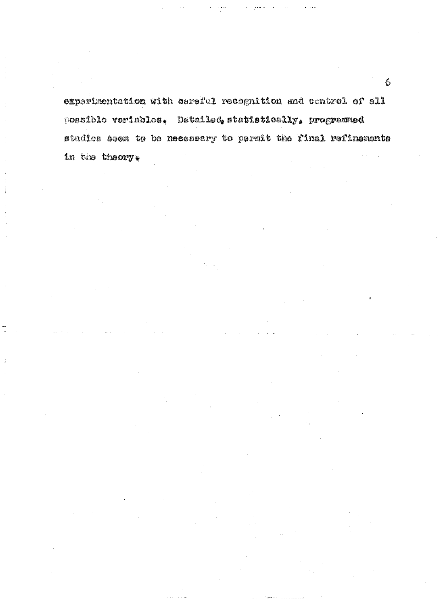experimentation with careful recognition and control of all possible variables. Detailed, statistically, programmed studies seem to be necessary to permit the final refinements in the theory.

 $\ddot{\mathbf{c}}$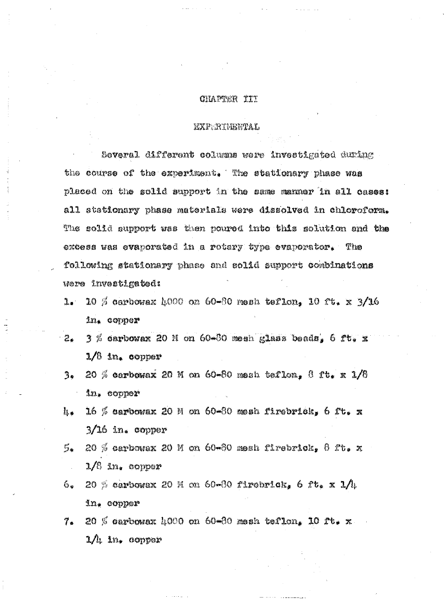#### CHAPTER III

#### EXPERIMENTAL

Several different columns were investigated during the course of the experiment. The stationary phase was placed on the solid support in the same manner in all cases: all stationary phase materials were dissolved in chloroform. The solid support was then poured into this solution and the excess was evaporated in a rotary type evaporator. The following stationary phase and solid support combinations were investigated:

- 10 % carbowax 4000 on 60-80 mesh teflon, 10 ft. x  $3/16$  $\mathbf{1}$ . in. copper
- $3%$  carbowax 20 M on 60-80 mesh glass beads, 6 ft. x డిం  $1/3$  in. copper
- 20 % carbowax 20 M on 60-80 mash teflon, 8 ft. x  $1/6$ 3. in, copper
- 16 % carbowax 20 M on 60-80 mesh firebrick, 6 ft. x U,  $3/16$  in. copper
- ్ఉ 20 % carbowax 20 M on 60-80 mesh firebrick,  $\theta$  ft. x  $1/6$  in. copper
- 20 % carbowax 20 M on 60-80 firebrick, 6 ft, x 1/4 6. in. copper
- 20 % carbowax 4000 on 60-80 mesh teflon, 10 ft. x  $7<sub>0</sub>$  $1/l$ , in. copper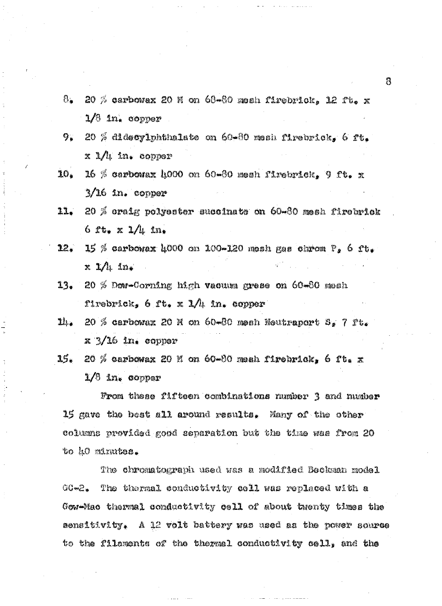- 8. 20  $\%$  carbowax 20 M on 68-80 mosh firebrick. 12 ft. x  $1/3$  in. copper
- 9. 20 % didecylphthalate on 60-80 mesh firebrick, 6 ft.  $x M$  in. copper
- 16 % carbowax 4000 on 60-80 mesh firebrick, 9 ft. x 10.  $3/16$  in. copper
- 11. 20 % craig polyester succinate on 60-80 mesh firebrick 6  $x_{1*} \times 1/n$  in.
- 12. 15 % carbowax 4000 on 100-120 mesh gas chrom  $P_a$  6 ft.  $x$   $1/h$   $ln$ .
- $13.$ 20  $%$  Dow-Corning high vacuum gress on  $60*80$  mesh firebrick,  $6$  ft. x 1/4 in. copper
- $11_{4}$  20 % carbowax 20 M on 60-80 mesh Neutraport S, 7 ft.  $x \frac{3}{16}$  in. copper
- 15. 20 % carbowax 20 M on 60-80 mesh firebrick, 6 ft. x  $1/6$  in. copper

From these fifteen combinations number 3 and number 15 gave the best all around results. Many of the other columns provided good separation but the time was from 20 to 40 minutes.

The chromatograph used was a modified Beckman model The thermal conductivity cell was replaced with a GC-2. Gow-Mac thermal conductivity cell of about twenty times the sensitivity. A 12 volt battery was used as the power source to the filaments of the thermal conductivity cell, and the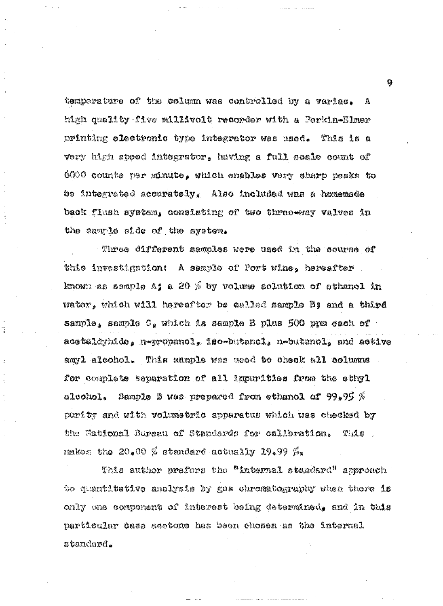temperature of the column was controlled by a variac. A high quality five millivolt recorder with a Perkin-Elmer printing electronic type integrator was used. This is a very high speed integrator, having a full scale count of 6000 counts per minute, which enables very sharp peaks to be integrated accurately. Also included was a homemade back flush system, consisting of two three-way valves in the sample side of the system.

Three different samples were used in the course of this investigation: A sample of Port wine, hereafter known as sample A; a 20  $\%$  by volume solution of ethanol in water, which will hereafter be called sample B; and a third sample, sample C, which is sample B plus 500 ppm each of acetaldyhide, n-propanol, iso-butanol, n-butanol, and active amyl alcohol. This sample was used to check all columns for complete separation of all impurities from the ethyl Sample B was prepared from ethanol of  $99.95~\%$ alcohol. purity and with volumetric apparatus which was checked by the National Bureau of Standards for calibration. This rmkos the 20.00  $\%$  stendard actually 19.99  $\%$ .

This author prefers the "internal standard" approach to quantitative analysis by gas chromatography when there is only one component of interest being determined, and in this particular case acetone has been chosen as the internal standard.

್ರಿ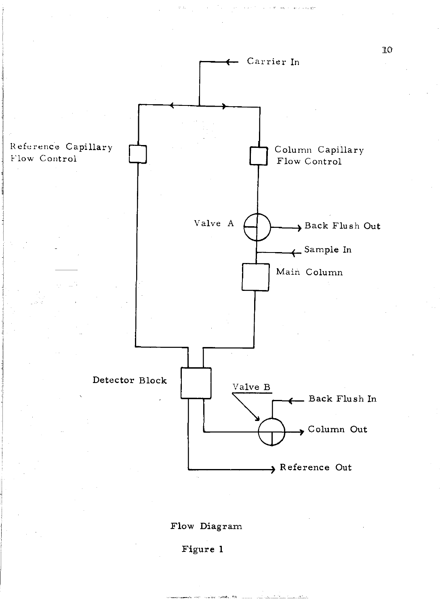

#### Flow Diagram

Figure 1

-- -- -'~--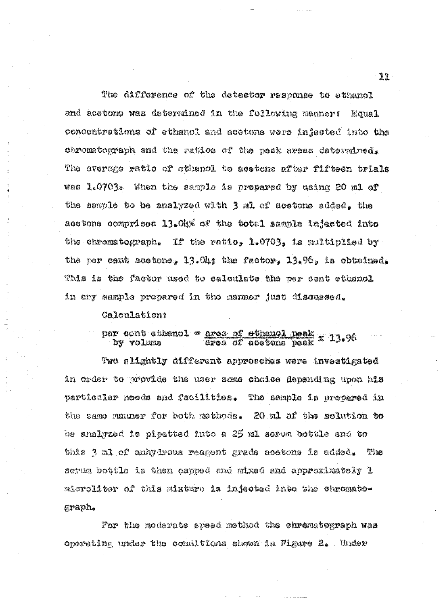The difference of the detector response to ethanol and acetone was determined in the following manner: Equa<sub>1</sub> concentrations of ethanol and acetons were injected into the chromatograph and the ratios of the peak areas determined. The average ratio of ethenol to acetone after fifteen trials was 1.0703. When the sample is prepared by using 20 ml of the sample to be analyzed with 3 ml of acetone added, the acetone comprises 13.04% of the total sample injected into the chromatograph. If the ratio,  $1.0703$ , is multiplied by the per cent acetone,  $3,01$ ; the factor,  $3,96$ , is obtained, This is the factor used to caloulate the per cent ethanol in any sample prepared in the manner just discussed.

#### Galculation;

# per cent cthanol = <u>area of ethanol peak</u> x 13.96<br>by volume area of acetone peak x 13.96

Two slightly different approaches were investigated in order to provide the user some choice depending upon his partloular needs and facilities. The sample is prepared in the same manner for both methods. 20 ml of the solution to be analyzed is pipetted into a 25 ml serum bottle and to this 3 ml of anhydrous reagent grade acetons is added. The serum bottle is then capped and mixed and approximately 1 microliter of this mixture is injected into the chromatograph.

For the moderate speed method the chromatograph was operating under the conditions shown in Figure 2. Under

11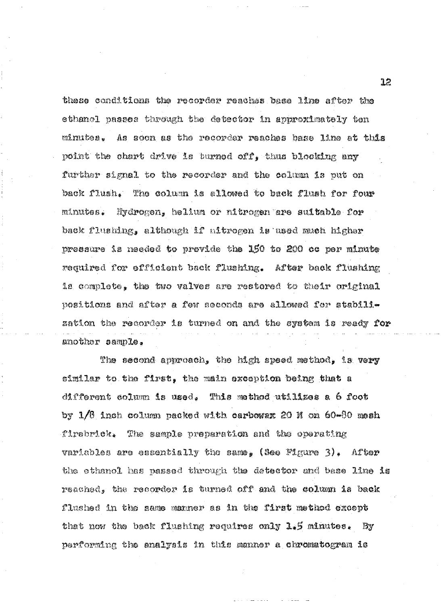these conditions the recorder reaches base line after the ethanol passes through the detector in approximately ten minutes. As soon as the recorder reaches base line at this point the chart drive is burned off, thus blocking any further signal to the recorder and the column is put on back flush. The column is allowed to back flush for four Mydrogen, helium or nitrogen are suitable for minutes. back flushing, although if nitrogen is used much higher pressure is needed to provide the 150 to 200 oc per minute required for efficient back flushing. After back flushing is complete, the two valves are restored to their original positions and after a few seconds are allowed for stabilization the recorder is turned on and the system is ready for another sample.

The second approach, the high speed method, is very similar to the first, the main exception being that a different column is used. This method utilizes a 6 foot by 1/8 inch column packed with carbowax 20 M on 60-80 mesh firebrick. The sample preparation and the operating variables are essentially the same, (See Figure 3). After the ethanol has passed through the detector and base line is reached, the recorder is turned off and the column is back flushed in the same manner as in the first method except that now the back flushing requires only  $1.5$  minutes. By performing the analysis in this manner a chromatogram is

ነጋ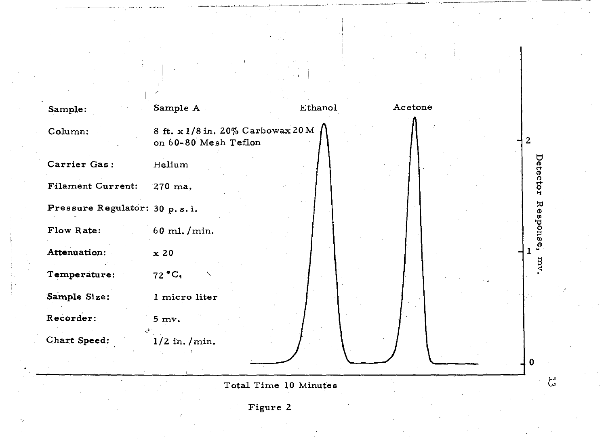

Figure 2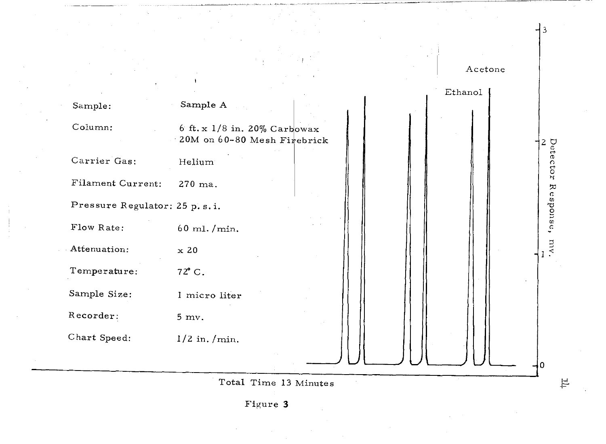

Figure 3

计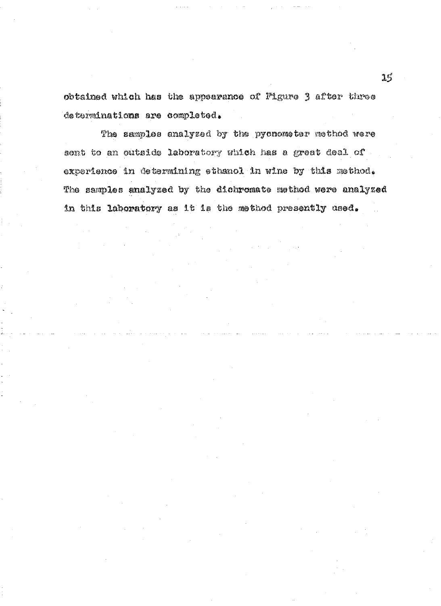obtained which has the appearance of Figure 3 after three determinations are completed.

The samples analyzed by the pycnometer method were sont to an outside laboratory which has a great deal of experience in determining ethenol in wine by this method. The samples analyzed by the dichromate method were analyzed in this laboratory as it is the method presently used.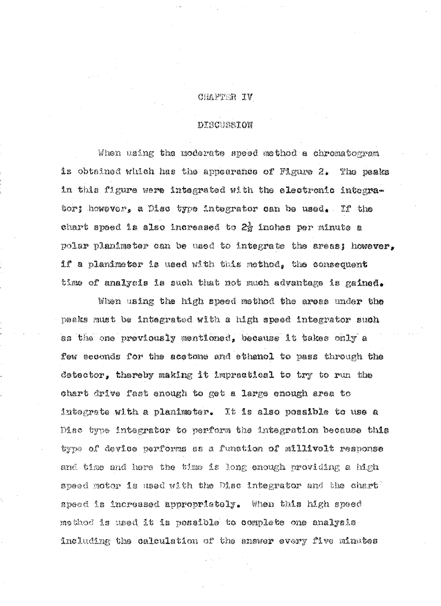#### VI SETTARJ

#### DISCUSSION

When using the moderate speed method a chromatogram is obtained which has the appearance of Figure 2. The peaks in this figure were integrated with the electronic integrator; however, a Disc type integrator can be used, If the chart speed is also increased to 2g inches per minute a polar planimeter can be used to integrate the areas; however, if a planimeter is used with this method, the consequent time of analysis is such that not much advantage is gained.

When using the high speed mothod the areas under the peaks must be integrated with a high spaed integrator such as the one previously mentioned, because it takes only a few seconds for the acetone and ethanol to pass through the detector, thereby making it impractical to try to run the chart drive fast enough to get a large enough area to integrate with a planimeter. It is also possible to use a Disc type integrator to perform the integration because this type of device performs as a function of millivolt response and time and here the time is long enough providing a high speed motor is used with the Disc integrator and the chart" speed is increased appropriately. When this high speed methed is used it is possible to complete one analysis including the calculation of the answer every five minutes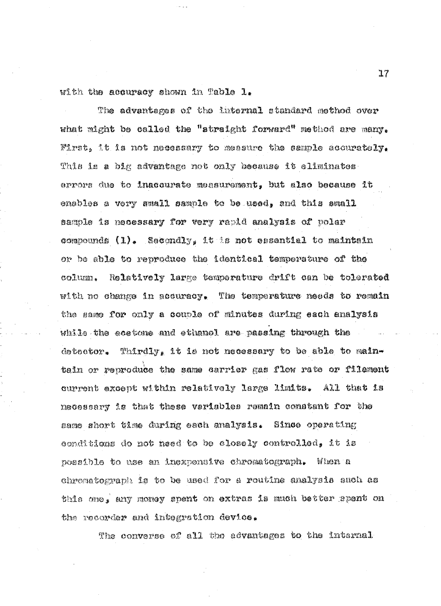with the accuracy shown in Table 1.

The advantages of the internal standard method over what might be called the "straight forward" method are many. First, it is not necessary to measure the sample accurately. This is a big advantage not only because it eliminates errors due to inaccurate measurement, but also because it ensbles a very small sample to be used, and this small sample is necessary for very rapid analysis of polar compounds  $(1)$ . Secondly, it is not essential to maintain or be able to reproduce the identical temperature of the column. Relatively large temperature drift can be tolerated with no change in accuracy. The temperature needs to remain the same for only a couple of minutes during each analysis while the acetone and ethanol are passing through the detector. Thirdly, it is not necessary to be able to maintain or reproduce the same carrier gas flow rate or filament current except within relatively large limits. All that is necessary is that these variables remain constant for the same short time during each analysis. Since operating conditions do not heed to be closely controlled, it is possible to use an inexpensive chromatograph. When a chromatograph is to be used for a routine analysis such as this one, any money spent on extras is much better spent on the recorder and integration device.

The converse of all the advantages to the internal

 $17$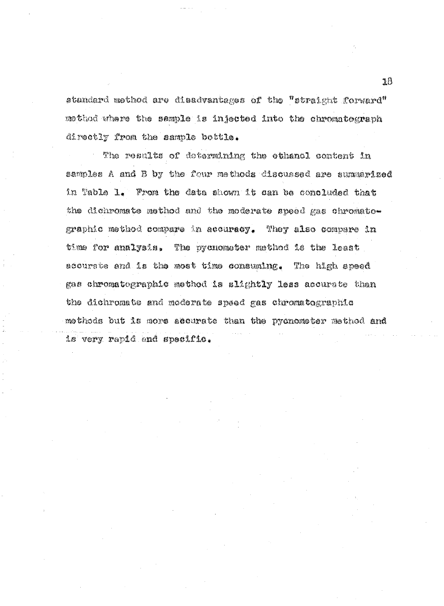standard method are disadvantages of the "straight forward" mothod where the sample is injected into the chromatograph directly from the sample bottle.

The results of determining the ethanol content in samples A and B by the four methods discussed are summarized in Table 1. From the data shown it can be concluded that the dichromate method and the moderate speed gas chromatographic method compare in accuracy. They also compare in time for analysis. The pycnometer method is the least accurate and is the most time consuming. The high speed gas chromatographic method is slightly less accurate than the dichromate and moderate speed gas chromatographic methods but is more accurate than the pycnometer method and is very rapid and specific.

18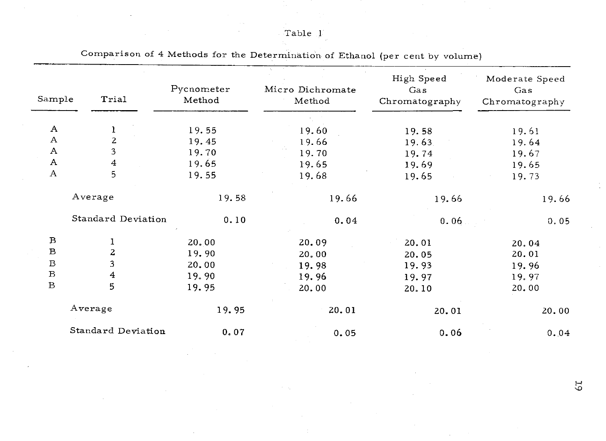# Table 1

 $\sim$ 

t.

 $\hat{A}$ 

| Sample           | Trial              | Pycnometer<br>Method | Micro Dichromate<br>Method | High Speed<br>Gas<br>Chromatography | Moderate Speed<br>Gas<br>Chromatography |  |  |
|------------------|--------------------|----------------------|----------------------------|-------------------------------------|-----------------------------------------|--|--|
|                  |                    |                      |                            |                                     |                                         |  |  |
| A                | $\mathbf{1}$       | 19.55                | 19.60                      | 19.58                               | 19.61                                   |  |  |
| A                | 2                  | 19.45                | 19.66                      | 19.63.                              | 19.64                                   |  |  |
| $\boldsymbol{A}$ | 3                  | 19.70                | 19.70                      | 19.74                               | 19.67                                   |  |  |
| A                | 4                  | 19.65                | 19.65                      | 19.69                               | 19.65                                   |  |  |
| $\boldsymbol{A}$ | 5                  | 19.55                | 19.68                      | 19.65                               | 19.73                                   |  |  |
|                  | Average            | 19.58                | 19.66                      | 19.66                               | 19.66                                   |  |  |
|                  | Standard Deviation | 0.10                 | 0.04                       | 0.06                                | 0.05                                    |  |  |
| $\bf{B}$         | 1                  | 20.00                | 20.09                      | 20.01                               | 20.04                                   |  |  |
| $\mathbf B$      | $\overline{2}$     | 19.90                | 20.00                      | 20.05                               | 20.01                                   |  |  |
| $\overline{B}$   | 3                  | 20.00                | 19.98                      | 19.93                               | 19.96                                   |  |  |
| $\, {\bf B}$     | 4                  | 19.90                | 19.96                      | 19.97                               | 19.97                                   |  |  |
| $\, {\bf B}$     | 5                  | 19.95                | 20.00                      | 20.10                               | 20.00                                   |  |  |
|                  | Average            | 19.95                | 20.01                      | 20.01                               | 20.00                                   |  |  |
|                  | Standard Deviation | 0.07                 | 0.05                       | 0.06                                | 0.04                                    |  |  |

<u>ی</u><br>ن